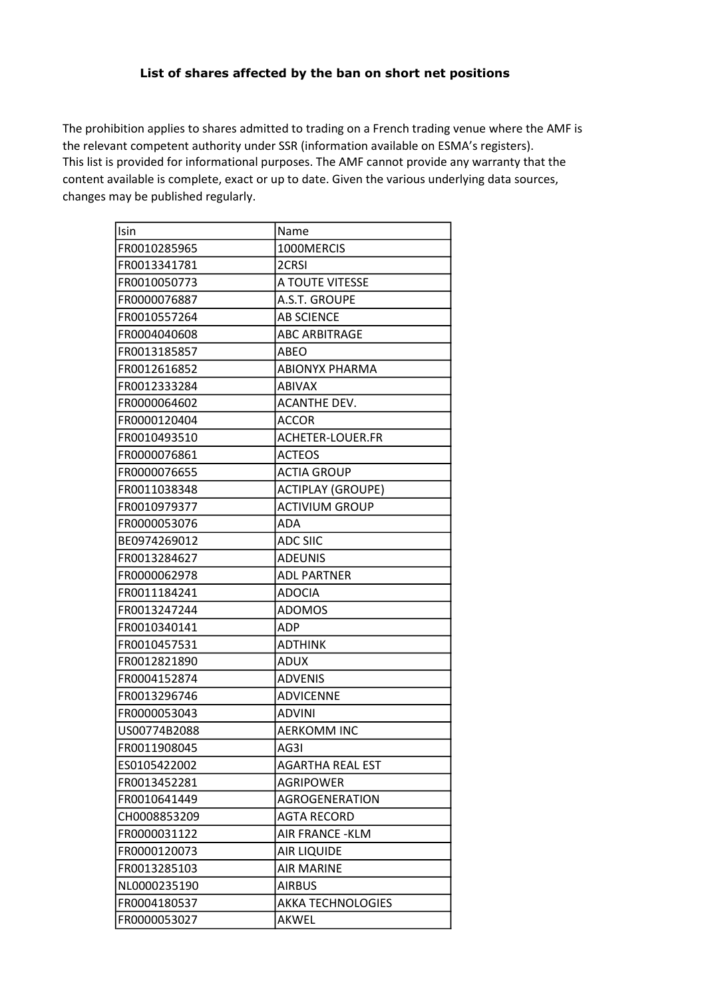## List of shares affected by the ban on short net positions

This list is provided for informational purposes. The AMF cannot provide any warranty that the content available is complete, exact or up to date. Given the various underlying data sources, changes may be published regularly. The prohibition applies to shares admitted to trading on a French trading venue where the AMF is the relevant competent authority under SSR (information available on ESMA's registers).

| Isin         | Name                     |
|--------------|--------------------------|
| FR0010285965 | 1000MERCIS               |
| FR0013341781 | 2CRSI                    |
| FR0010050773 | A TOUTE VITESSE          |
| FR0000076887 | A.S.T. GROUPE            |
| FR0010557264 | <b>AB SCIENCE</b>        |
| FR0004040608 | <b>ABC ARBITRAGE</b>     |
| FR0013185857 | ABEO                     |
| FR0012616852 | <b>ABIONYX PHARMA</b>    |
| FR0012333284 | <b>ABIVAX</b>            |
| FR0000064602 | <b>ACANTHE DEV.</b>      |
| FR0000120404 | <b>ACCOR</b>             |
| FR0010493510 | ACHETER-LOUER.FR         |
| FR0000076861 | <b>ACTEOS</b>            |
| FR0000076655 | <b>ACTIA GROUP</b>       |
| FR0011038348 | <b>ACTIPLAY (GROUPE)</b> |
| FR0010979377 | <b>ACTIVIUM GROUP</b>    |
| FR0000053076 | ADA                      |
| BE0974269012 | <b>ADC SIIC</b>          |
| FR0013284627 | <b>ADEUNIS</b>           |
| FR0000062978 | <b>ADL PARTNER</b>       |
| FR0011184241 | <b>ADOCIA</b>            |
| FR0013247244 | <b>ADOMOS</b>            |
| FR0010340141 | <b>ADP</b>               |
| FR0010457531 | <b>ADTHINK</b>           |
| FR0012821890 | <b>ADUX</b>              |
| FR0004152874 | <b>ADVENIS</b>           |
| FR0013296746 | <b>ADVICENNE</b>         |
| FR0000053043 | <b>ADVINI</b>            |
| US00774B2088 | <b>AERKOMM INC</b>       |
| FR0011908045 | AG3I                     |
| ES0105422002 | <b>AGARTHA REAL EST</b>  |
| FR0013452281 | <b>AGRIPOWER</b>         |
| FR0010641449 | <b>AGROGENERATION</b>    |
| CH0008853209 | <b>AGTA RECORD</b>       |
| FR0000031122 | AIR FRANCE - KLM         |
| FR0000120073 | AIR LIQUIDE              |
| FR0013285103 | <b>AIR MARINE</b>        |
| NL0000235190 | <b>AIRBUS</b>            |
| FR0004180537 | <b>AKKA TECHNOLOGIES</b> |
| FR0000053027 | AKWEL                    |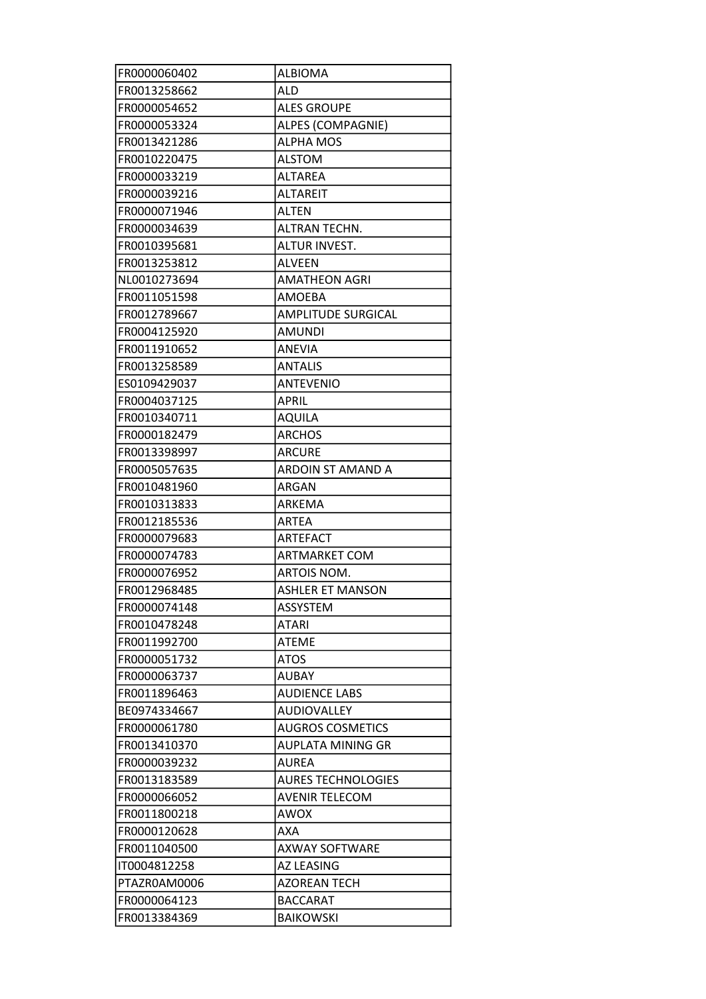| FR0000060402 | <b>ALBIOMA</b>            |
|--------------|---------------------------|
| FR0013258662 | <b>ALD</b>                |
| FR0000054652 | <b>ALES GROUPE</b>        |
| FR0000053324 | ALPES (COMPAGNIE)         |
| FR0013421286 | <b>ALPHA MOS</b>          |
| FR0010220475 | <b>ALSTOM</b>             |
| FR0000033219 | <b>ALTAREA</b>            |
| FR0000039216 | <b>ALTAREIT</b>           |
| FR0000071946 | <b>ALTEN</b>              |
| FR0000034639 | ALTRAN TECHN.             |
| FR0010395681 | ALTUR INVEST.             |
| FR0013253812 | <b>ALVEEN</b>             |
| NL0010273694 | <b>AMATHEON AGRI</b>      |
| FR0011051598 | <b>AMOEBA</b>             |
| FR0012789667 | <b>AMPLITUDE SURGICAL</b> |
| FR0004125920 | <b>AMUNDI</b>             |
| FR0011910652 | <b>ANEVIA</b>             |
| FR0013258589 | <b>ANTALIS</b>            |
| ES0109429037 | <b>ANTEVENIO</b>          |
| FR0004037125 | <b>APRIL</b>              |
| FR0010340711 | <b>AQUILA</b>             |
| FR0000182479 | <b>ARCHOS</b>             |
| FR0013398997 | <b>ARCURE</b>             |
| FR0005057635 | ARDOIN ST AMAND A         |
|              | ARGAN                     |
| FR0010481960 |                           |
| FR0010313833 | ARKEMA                    |
| FR0012185536 | <b>ARTEA</b>              |
| FR0000079683 | <b>ARTEFACT</b>           |
| FR0000074783 | <b>ARTMARKET COM</b>      |
| FR0000076952 | ARTOIS NOM.               |
| FR0012968485 | <b>ASHLER ET MANSON</b>   |
| FR0000074148 | ASSYSTEM                  |
| FR0010478248 | <b>ATARI</b>              |
| FR0011992700 | <b>ATEME</b>              |
| FR0000051732 | <b>ATOS</b>               |
| FR0000063737 | <b>AUBAY</b>              |
| FR0011896463 | <b>AUDIENCE LABS</b>      |
| BE0974334667 | <b>AUDIOVALLEY</b>        |
| FR0000061780 | <b>AUGROS COSMETICS</b>   |
| FR0013410370 | <b>AUPLATA MINING GR</b>  |
| FR0000039232 | <b>AUREA</b>              |
| FR0013183589 | <b>AURES TECHNOLOGIES</b> |
| FR0000066052 | <b>AVENIR TELECOM</b>     |
| FR0011800218 | <b>AWOX</b>               |
| FR0000120628 | <b>AXA</b>                |
| FR0011040500 | <b>AXWAY SOFTWARE</b>     |
| IT0004812258 | <b>AZ LEASING</b>         |
| PTAZROAM0006 | <b>AZOREAN TECH</b>       |
| FR0000064123 | <b>BACCARAT</b>           |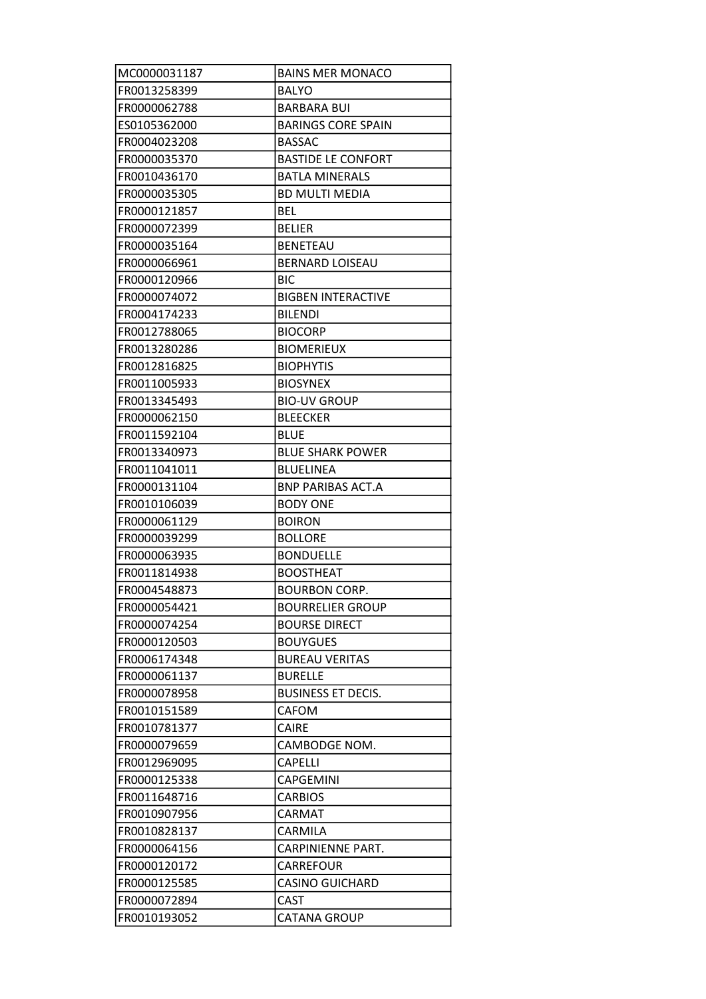| MC0000031187 | <b>BAINS MER MONACO</b>   |
|--------------|---------------------------|
| FR0013258399 | <b>BALYO</b>              |
| FR0000062788 | <b>BARBARA BUI</b>        |
| ES0105362000 | <b>BARINGS CORE SPAIN</b> |
| FR0004023208 | <b>BASSAC</b>             |
| FR0000035370 | <b>BASTIDE LE CONFORT</b> |
| FR0010436170 | <b>BATLA MINERALS</b>     |
| FR0000035305 | <b>BD MULTI MEDIA</b>     |
| FR0000121857 | <b>BEL</b>                |
| FR0000072399 | <b>BELIER</b>             |
| FR0000035164 | <b>BENETEAU</b>           |
| FR0000066961 | <b>BERNARD LOISEAU</b>    |
| FR0000120966 | BIC                       |
| FR0000074072 | <b>BIGBEN INTERACTIVE</b> |
| FR0004174233 | <b>BILENDI</b>            |
| FR0012788065 | <b>BIOCORP</b>            |
| FR0013280286 | <b>BIOMERIEUX</b>         |
| FR0012816825 | <b>BIOPHYTIS</b>          |
| FR0011005933 | <b>BIOSYNEX</b>           |
| FR0013345493 | <b>BIO-UV GROUP</b>       |
| FR0000062150 | <b>BLEECKER</b>           |
| FR0011592104 | <b>BLUE</b>               |
| FR0013340973 | <b>BLUE SHARK POWER</b>   |
| FR0011041011 | <b>BLUELINEA</b>          |
| FR0000131104 | <b>BNP PARIBAS ACT.A</b>  |
| FR0010106039 | <b>BODY ONE</b>           |
| FR0000061129 | <b>BOIRON</b>             |
| FR0000039299 | <b>BOLLORE</b>            |
| FR0000063935 | <b>BONDUELLE</b>          |
| FR0011814938 | <b>BOOSTHEAT</b>          |
| FR0004548873 | <b>BOURBON CORP.</b>      |
| FR0000054421 | <b>BOURRELIER GROUP</b>   |
| FR0000074254 | <b>BOURSE DIRECT</b>      |
| FR0000120503 | <b>BOUYGUES</b>           |
| FR0006174348 | <b>BUREAU VERITAS</b>     |
| FR0000061137 | <b>BURELLE</b>            |
| FR0000078958 | <b>BUSINESS ET DECIS.</b> |
| FR0010151589 | <b>CAFOM</b>              |
| FR0010781377 | <b>CAIRE</b>              |
| FR0000079659 | CAMBODGE NOM.             |
| FR0012969095 | <b>CAPELLI</b>            |
| FR0000125338 | CAPGEMINI                 |
| FR0011648716 | <b>CARBIOS</b>            |
| FR0010907956 | CARMAT                    |
| FR0010828137 | CARMILA                   |
| FR0000064156 | <b>CARPINIENNE PART.</b>  |
| FR0000120172 | <b>CARREFOUR</b>          |
| FR0000125585 | <b>CASINO GUICHARD</b>    |
| FR0000072894 | <b>CAST</b>               |
| FR0010193052 | <b>CATANA GROUP</b>       |
|              |                           |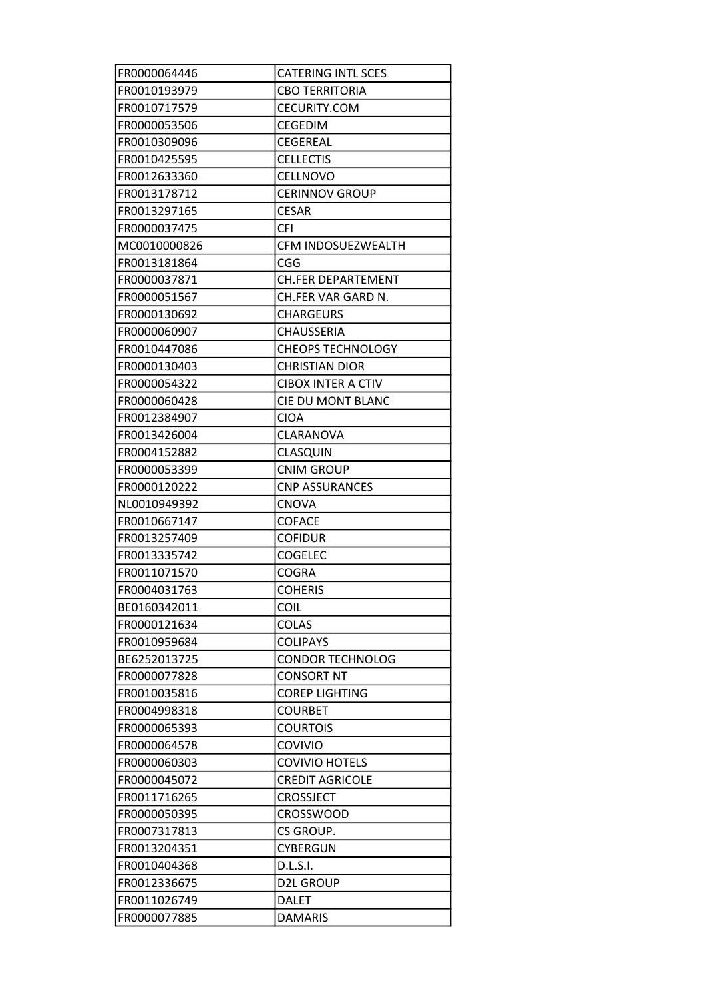| FR0000064446 | <b>CATERING INTL SCES</b> |
|--------------|---------------------------|
| FR0010193979 | <b>CBO TERRITORIA</b>     |
| FR0010717579 | CECURITY.COM              |
| FR0000053506 | <b>CEGEDIM</b>            |
| FR0010309096 | <b>CEGEREAL</b>           |
| FR0010425595 | <b>CELLECTIS</b>          |
| FR0012633360 | <b>CELLNOVO</b>           |
| FR0013178712 | <b>CERINNOV GROUP</b>     |
| FR0013297165 | <b>CESAR</b>              |
| FR0000037475 | <b>CFI</b>                |
| MC0010000826 | CFM INDOSUEZWEALTH        |
| FR0013181864 | CGG                       |
| FR0000037871 | <b>CH.FER DEPARTEMENT</b> |
| FR0000051567 | CH.FER VAR GARD N.        |
| FR0000130692 | <b>CHARGEURS</b>          |
| FR0000060907 | <b>CHAUSSERIA</b>         |
| FR0010447086 | <b>CHEOPS TECHNOLOGY</b>  |
| FR0000130403 | <b>CHRISTIAN DIOR</b>     |
| FR0000054322 | <b>CIBOX INTER A CTIV</b> |
| FR0000060428 | CIE DU MONT BLANC         |
| FR0012384907 | <b>CIOA</b>               |
| FR0013426004 | CLARANOVA                 |
| FR0004152882 | CLASQUIN                  |
| FR0000053399 | <b>CNIM GROUP</b>         |
| FR0000120222 | <b>CNP ASSURANCES</b>     |
|              |                           |
| NL0010949392 | <b>CNOVA</b>              |
| FR0010667147 | <b>COFACE</b>             |
| FR0013257409 | <b>COFIDUR</b>            |
| FR0013335742 | <b>COGELEC</b>            |
| FR0011071570 | <b>COGRA</b>              |
| FR0004031763 | <b>COHERIS</b>            |
| BE0160342011 | COIL                      |
| FR0000121634 | <b>COLAS</b>              |
| FR0010959684 | <b>COLIPAYS</b>           |
| BE6252013725 | <b>CONDOR TECHNOLOG</b>   |
| FR0000077828 | <b>CONSORT NT</b>         |
| FR0010035816 | <b>COREP LIGHTING</b>     |
| FR0004998318 | <b>COURBET</b>            |
| FR0000065393 | <b>COURTOIS</b>           |
| FR0000064578 | COVIVIO                   |
| FR0000060303 | <b>COVIVIO HOTELS</b>     |
| FR0000045072 | <b>CREDIT AGRICOLE</b>    |
| FR0011716265 | <b>CROSSJECT</b>          |
| FR0000050395 | <b>CROSSWOOD</b>          |
| FR0007317813 | CS GROUP.                 |
| FR0013204351 | <b>CYBERGUN</b>           |
| FR0010404368 | D.L.S.I.                  |
| FR0012336675 | <b>D2L GROUP</b>          |
| FR0011026749 | <b>DALET</b>              |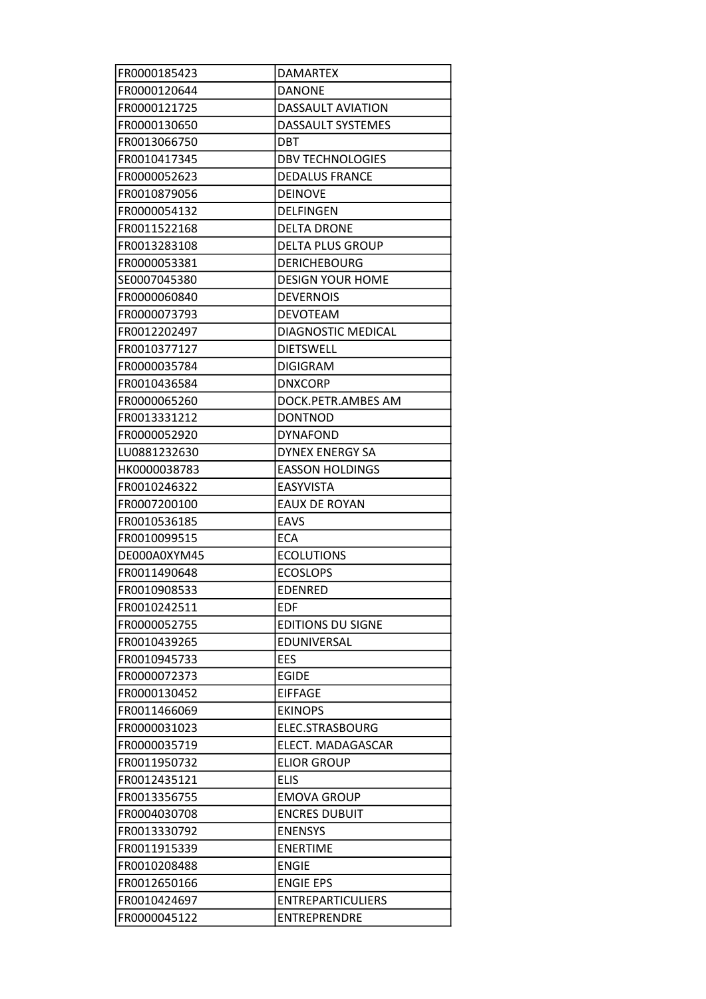| FR0000185423                 | <b>DAMARTEX</b>                          |
|------------------------------|------------------------------------------|
| FR0000120644                 | <b>DANONE</b>                            |
| FR0000121725                 | <b>DASSAULT AVIATION</b>                 |
| FR0000130650                 | DASSAULT SYSTEMES                        |
| FR0013066750                 | <b>DBT</b>                               |
| FR0010417345                 | <b>DBV TECHNOLOGIES</b>                  |
| FR0000052623                 | <b>DEDALUS FRANCE</b>                    |
| FR0010879056                 | <b>DEINOVE</b>                           |
| FR0000054132                 | DELFINGEN                                |
| FR0011522168                 | <b>DELTA DRONE</b>                       |
| FR0013283108                 | <b>DELTA PLUS GROUP</b>                  |
| FR0000053381                 | <b>DERICHEBOURG</b>                      |
| SE0007045380                 | <b>DESIGN YOUR HOME</b>                  |
| FR0000060840                 | <b>DEVERNOIS</b>                         |
| FR0000073793                 | <b>DEVOTEAM</b>                          |
| FR0012202497                 | DIAGNOSTIC MEDICAL                       |
| FR0010377127                 | <b>DIETSWELL</b>                         |
| FR0000035784                 | <b>DIGIGRAM</b>                          |
| FR0010436584                 | <b>DNXCORP</b>                           |
| FR0000065260                 | DOCK.PETR.AMBES AM                       |
| FR0013331212                 | <b>DONTNOD</b>                           |
| FR0000052920                 | <b>DYNAFOND</b>                          |
| LU0881232630                 | <b>DYNEX ENERGY SA</b>                   |
| HK0000038783                 | <b>EASSON HOLDINGS</b>                   |
| FR0010246322                 | <b>EASYVISTA</b>                         |
| FR0007200100                 | <b>EAUX DE ROYAN</b>                     |
| FR0010536185                 | <b>EAVS</b>                              |
| FR0010099515                 | <b>ECA</b>                               |
| DE000A0XYM45                 | <b>ECOLUTIONS</b>                        |
| FR0011490648                 | <b>ECOSLOPS</b>                          |
| FR0010908533                 | <b>EDENRED</b>                           |
| FR0010242511                 |                                          |
|                              |                                          |
|                              | <b>EDF</b>                               |
| FR0000052755                 | <b>EDITIONS DU SIGNE</b>                 |
| FR0010439265                 | <b>EDUNIVERSAL</b>                       |
| FR0010945733                 | <b>EES</b>                               |
| FR0000072373                 | <b>EGIDE</b>                             |
| FR0000130452                 | <b>EIFFAGE</b>                           |
| FR0011466069                 | <b>EKINOPS</b>                           |
| FR0000031023                 | ELEC.STRASBOURG                          |
| FR0000035719                 | ELECT. MADAGASCAR                        |
| FR0011950732                 | <b>ELIOR GROUP</b>                       |
| FR0012435121                 | <b>ELIS</b>                              |
| FR0013356755                 | <b>EMOVA GROUP</b>                       |
| FR0004030708                 | <b>ENCRES DUBUIT</b>                     |
| FR0013330792                 | <b>ENENSYS</b>                           |
| FR0011915339                 | <b>ENERTIME</b>                          |
| FR0010208488                 | <b>ENGIE</b>                             |
| FR0012650166                 | <b>ENGIE EPS</b>                         |
| FR0010424697<br>FR0000045122 | <b>ENTREPARTICULIERS</b><br>ENTREPRENDRE |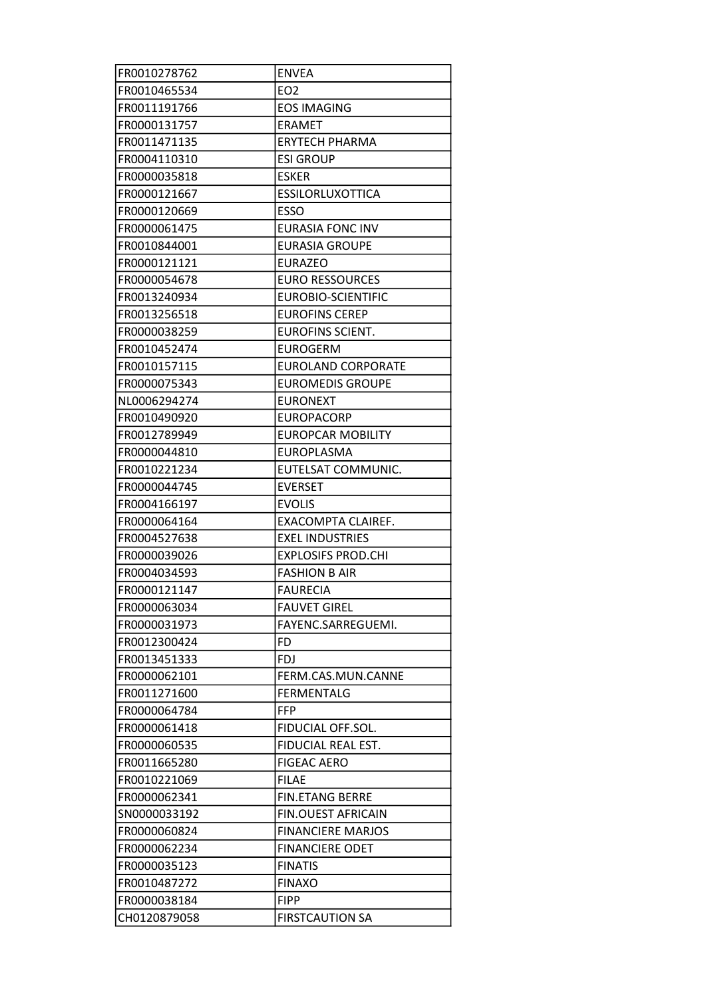| FR0010278762 | <b>ENVEA</b>              |
|--------------|---------------------------|
| FR0010465534 | EO <sub>2</sub>           |
| FR0011191766 | <b>EOS IMAGING</b>        |
| FR0000131757 | <b>ERAMET</b>             |
| FR0011471135 | <b>ERYTECH PHARMA</b>     |
| FR0004110310 | <b>ESI GROUP</b>          |
| FR0000035818 | <b>ESKER</b>              |
| FR0000121667 | <b>ESSILORLUXOTTICA</b>   |
| FR0000120669 | <b>ESSO</b>               |
| FR0000061475 | <b>EURASIA FONC INV</b>   |
| FR0010844001 | <b>EURASIA GROUPE</b>     |
| FR0000121121 | <b>EURAZEO</b>            |
| FR0000054678 | <b>EURO RESSOURCES</b>    |
| FR0013240934 | <b>EUROBIO-SCIENTIFIC</b> |
| FR0013256518 | <b>EUROFINS CEREP</b>     |
| FR0000038259 | <b>EUROFINS SCIENT.</b>   |
| FR0010452474 | <b>EUROGERM</b>           |
| FR0010157115 | <b>EUROLAND CORPORATE</b> |
| FR0000075343 | <b>EUROMEDIS GROUPE</b>   |
| NL0006294274 | <b>EURONEXT</b>           |
| FR0010490920 | <b>EUROPACORP</b>         |
| FR0012789949 | <b>EUROPCAR MOBILITY</b>  |
| FR0000044810 | <b>EUROPLASMA</b>         |
| FR0010221234 | EUTELSAT COMMUNIC.        |
| FR0000044745 | <b>EVERSET</b>            |
|              |                           |
| FR0004166197 | <b>EVOLIS</b>             |
| FR0000064164 | <b>EXACOMPTA CLAIREF.</b> |
| FR0004527638 | <b>EXEL INDUSTRIES</b>    |
| FR0000039026 | <b>EXPLOSIFS PROD.CHI</b> |
| FR0004034593 | <b>FASHION B AIR</b>      |
| FR0000121147 | <b>FAURECIA</b>           |
| FR0000063034 | <b>FAUVET GIREL</b>       |
| FR0000031973 | FAYENC.SARREGUEMI.        |
| FR0012300424 | FD.                       |
| FR0013451333 | <b>FDJ</b>                |
| FR0000062101 | FERM.CAS.MUN.CANNE        |
| FR0011271600 | <b>FERMENTALG</b>         |
| FR0000064784 | <b>FFP</b>                |
| FR0000061418 | FIDUCIAL OFF.SOL.         |
| FR0000060535 | FIDUCIAL REAL EST.        |
| FR0011665280 | <b>FIGEAC AERO</b>        |
| FR0010221069 | <b>FILAE</b>              |
| FR0000062341 | <b>FIN.ETANG BERRE</b>    |
| SN0000033192 | <b>FIN.OUEST AFRICAIN</b> |
| FR0000060824 | <b>FINANCIERE MARJOS</b>  |
| FR0000062234 | <b>FINANCIERE ODET</b>    |
| FR0000035123 | <b>FINATIS</b>            |
| FR0010487272 | <b>FINAXO</b>             |
| FR0000038184 | <b>FIPP</b>               |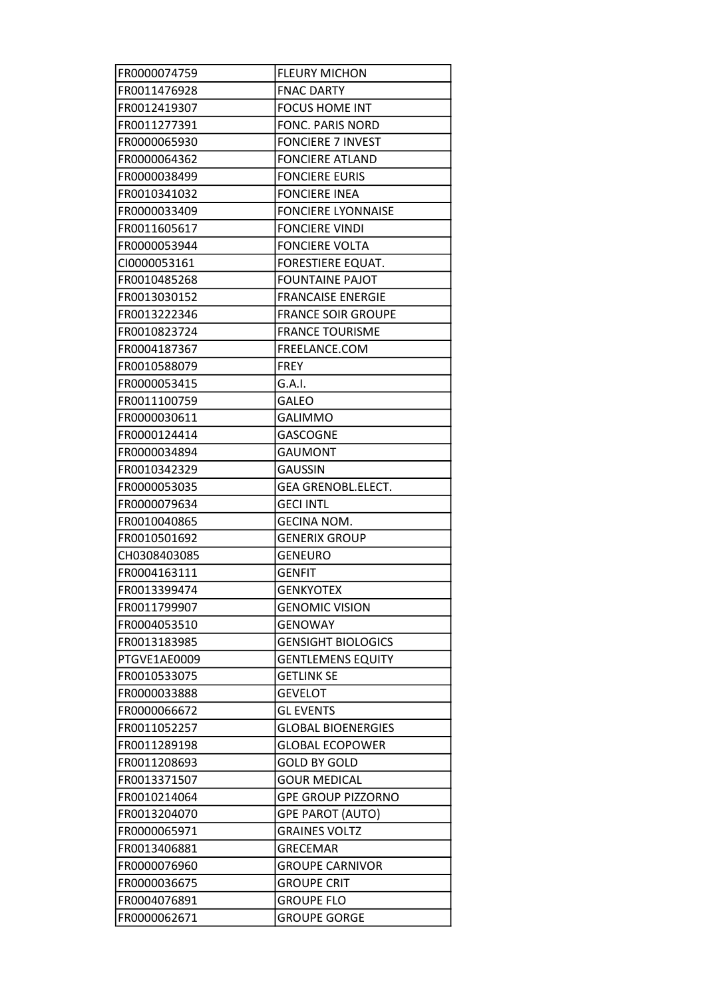| FR0000074759 | <b>FLEURY MICHON</b>      |
|--------------|---------------------------|
| FR0011476928 | <b>FNAC DARTY</b>         |
| FR0012419307 | <b>FOCUS HOME INT</b>     |
| FR0011277391 | <b>FONC. PARIS NORD</b>   |
| FR0000065930 | <b>FONCIERE 7 INVEST</b>  |
| FR0000064362 | <b>FONCIERE ATLAND</b>    |
| FR0000038499 | <b>FONCIERE EURIS</b>     |
| FR0010341032 | <b>FONCIERE INEA</b>      |
| FR0000033409 | <b>FONCIERE LYONNAISE</b> |
| FR0011605617 | <b>FONCIERE VINDI</b>     |
| FR0000053944 | <b>FONCIERE VOLTA</b>     |
| CI0000053161 | <b>FORESTIERE EQUAT.</b>  |
| FR0010485268 | <b>FOUNTAINE PAJOT</b>    |
| FR0013030152 | <b>FRANCAISE ENERGIE</b>  |
| FR0013222346 | <b>FRANCE SOIR GROUPE</b> |
| FR0010823724 | <b>FRANCE TOURISME</b>    |
| FR0004187367 | FREELANCE.COM             |
| FR0010588079 | <b>FREY</b>               |
| FR0000053415 | G.A.I.                    |
| FR0011100759 | GALEO                     |
| FR0000030611 | <b>GALIMMO</b>            |
| FR0000124414 | <b>GASCOGNE</b>           |
| FR0000034894 | <b>GAUMONT</b>            |
| FR0010342329 | <b>GAUSSIN</b>            |
| FR0000053035 | <b>GEA GRENOBL.ELECT.</b> |
| FR0000079634 | <b>GECI INTL</b>          |
| FR0010040865 | <b>GECINA NOM.</b>        |
| FR0010501692 | <b>GENERIX GROUP</b>      |
| CH0308403085 | <b>GENEURO</b>            |
| FR0004163111 | <b>GENFIT</b>             |
| FR0013399474 | <b>GENKYOTEX</b>          |
| FR0011799907 | <b>GENOMIC VISION</b>     |
|              |                           |
| FR0004053510 | <b>GENOWAY</b>            |
| FR0013183985 | <b>GENSIGHT BIOLOGICS</b> |
| PTGVE1AE0009 | <b>GENTLEMENS EQUITY</b>  |
| FR0010533075 | <b>GETLINK SE</b>         |
| FR0000033888 | <b>GEVELOT</b>            |
| FR0000066672 | <b>GL EVENTS</b>          |
| FR0011052257 | <b>GLOBAL BIOENERGIES</b> |
| FR0011289198 | <b>GLOBAL ECOPOWER</b>    |
| FR0011208693 | <b>GOLD BY GOLD</b>       |
| FR0013371507 | <b>GOUR MEDICAL</b>       |
| FR0010214064 | <b>GPE GROUP PIZZORNO</b> |
| FR0013204070 | <b>GPE PAROT (AUTO)</b>   |
| FR0000065971 | <b>GRAINES VOLTZ</b>      |
| FR0013406881 | <b>GRECEMAR</b>           |
| FR0000076960 | <b>GROUPE CARNIVOR</b>    |
| FR0000036675 | <b>GROUPE CRIT</b>        |
| FR0004076891 | <b>GROUPE FLO</b>         |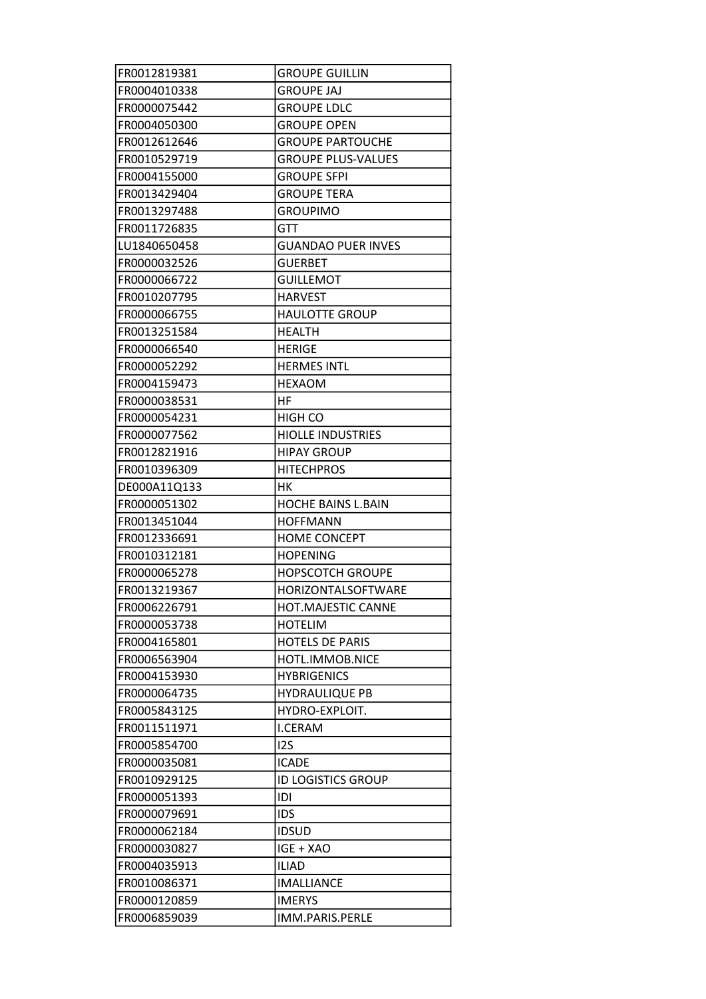| FR0012819381 | <b>GROUPE GUILLIN</b>     |
|--------------|---------------------------|
| FR0004010338 | <b>GROUPE JAJ</b>         |
| FR0000075442 | <b>GROUPE LDLC</b>        |
| FR0004050300 | <b>GROUPE OPEN</b>        |
| FR0012612646 | <b>GROUPE PARTOUCHE</b>   |
| FR0010529719 | <b>GROUPE PLUS-VALUES</b> |
| FR0004155000 | <b>GROUPE SFPI</b>        |
| FR0013429404 | <b>GROUPE TERA</b>        |
| FR0013297488 | <b>GROUPIMO</b>           |
| FR0011726835 | GTT                       |
| LU1840650458 | <b>GUANDAO PUER INVES</b> |
| FR0000032526 | <b>GUERBET</b>            |
| FR0000066722 | <b>GUILLEMOT</b>          |
| FR0010207795 | <b>HARVEST</b>            |
| FR0000066755 | <b>HAULOTTE GROUP</b>     |
| FR0013251584 | <b>HEALTH</b>             |
| FR0000066540 | <b>HERIGE</b>             |
| FR0000052292 | <b>HERMES INTL</b>        |
| FR0004159473 | <b>HEXAOM</b>             |
| FR0000038531 | HF                        |
| FR0000054231 | HIGH CO                   |
| FR0000077562 | <b>HIOLLE INDUSTRIES</b>  |
| FR0012821916 | <b>HIPAY GROUP</b>        |
| FR0010396309 | <b>HITECHPROS</b>         |
| DE000A11Q133 | HК                        |
| FR0000051302 | <b>HOCHE BAINS L.BAIN</b> |
| FR0013451044 | <b>HOFFMANN</b>           |
| FR0012336691 | <b>HOME CONCEPT</b>       |
| FR0010312181 | <b>HOPENING</b>           |
| FR0000065278 | <b>HOPSCOTCH GROUPE</b>   |
| FR0013219367 | HORIZONTALSOFTWARE        |
| FR0006226791 | HOT.MAJESTIC CANNE        |
| FR0000053738 | <b>HOTELIM</b>            |
| FR0004165801 | <b>HOTELS DE PARIS</b>    |
| FR0006563904 | HOTL.IMMOB.NICE           |
| FR0004153930 | <b>HYBRIGENICS</b>        |
| FR0000064735 | <b>HYDRAULIQUE PB</b>     |
| FR0005843125 | HYDRO-EXPLOIT.            |
| FR0011511971 | <b>I.CERAM</b>            |
| FR0005854700 | 125                       |
| FR0000035081 | <b>ICADE</b>              |
| FR0010929125 | <b>ID LOGISTICS GROUP</b> |
| FR0000051393 | IDI                       |
| FR0000079691 | <b>IDS</b>                |
| FR0000062184 | <b>IDSUD</b>              |
| FR0000030827 | IGE + XAO                 |
| FR0004035913 | <b>ILIAD</b>              |
| FR0010086371 | <b>IMALLIANCE</b>         |
| FR0000120859 | <b>IMERYS</b>             |
| FR0006859039 | IMM.PARIS.PERLE           |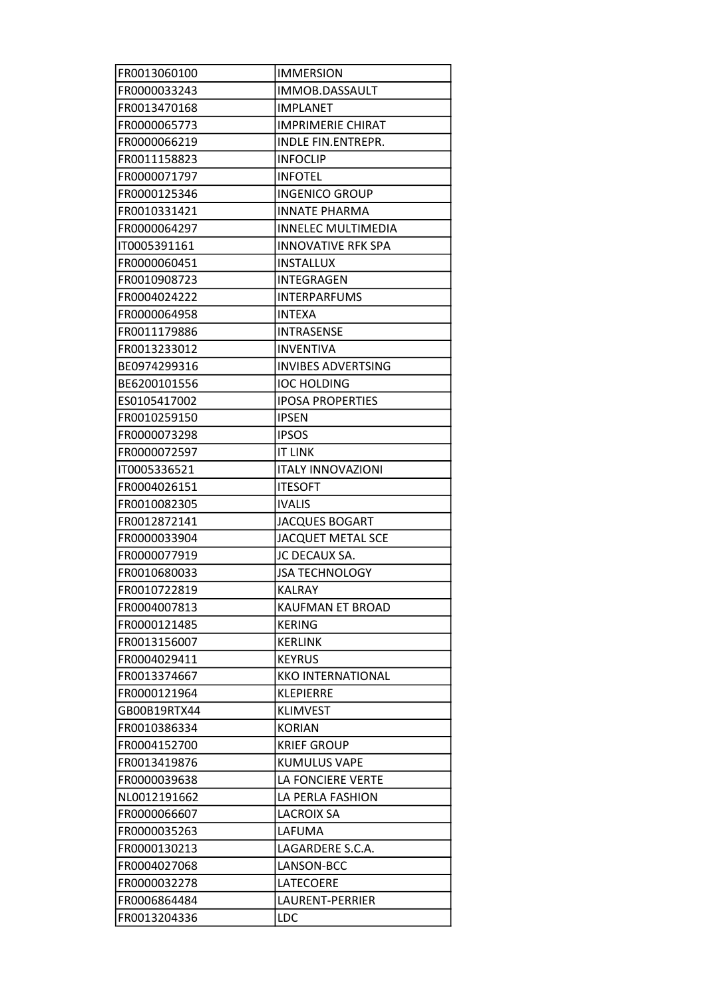| FR0013060100                 | <b>IMMERSION</b>          |
|------------------------------|---------------------------|
| FR0000033243                 | IMMOB.DASSAULT            |
| FR0013470168                 | <b>IMPLANET</b>           |
| FR0000065773                 | <b>IMPRIMERIE CHIRAT</b>  |
| FR0000066219                 | INDLE FIN.ENTREPR.        |
| FR0011158823                 | <b>INFOCLIP</b>           |
| FR0000071797                 | <b>INFOTEL</b>            |
| FR0000125346                 | <b>INGENICO GROUP</b>     |
| FR0010331421                 | <b>INNATE PHARMA</b>      |
| FR0000064297                 | <b>INNELEC MULTIMEDIA</b> |
| IT0005391161                 | <b>INNOVATIVE RFK SPA</b> |
| FR0000060451                 | <b>INSTALLUX</b>          |
| FR0010908723                 | INTEGRAGEN                |
| FR0004024222                 | <b>INTERPARFUMS</b>       |
| FR0000064958                 | <b>INTEXA</b>             |
| FR0011179886                 | <b>INTRASENSE</b>         |
| FR0013233012                 | <b>INVENTIVA</b>          |
| BE0974299316                 | <b>INVIBES ADVERTSING</b> |
| BE6200101556                 | <b>IOC HOLDING</b>        |
| ES0105417002                 | <b>IPOSA PROPERTIES</b>   |
| FR0010259150                 | <b>IPSEN</b>              |
| FR0000073298                 | <b>IPSOS</b>              |
| FR0000072597                 | <b>IT LINK</b>            |
| IT0005336521                 | <b>ITALY INNOVAZIONI</b>  |
| FR0004026151                 | <b>ITESOFT</b>            |
| FR0010082305                 | <b>IVALIS</b>             |
| FR0012872141                 | <b>JACQUES BOGART</b>     |
| FR0000033904                 | <b>JACQUET METAL SCE</b>  |
| FR0000077919                 | JC DECAUX SA.             |
| FR0010680033                 | <b>JSA TECHNOLOGY</b>     |
| FR0010722819                 | <b>KALRAY</b>             |
| FR0004007813                 | <b>KAUFMAN ET BROAD</b>   |
| FR0000121485                 | <b>KERING</b>             |
| FR0013156007                 | <b>KERLINK</b>            |
| FR0004029411                 | <b>KEYRUS</b>             |
| FR0013374667                 | <b>KKO INTERNATIONAL</b>  |
| FR0000121964                 | <b>KLEPIERRE</b>          |
| GB00B19RTX44                 | <b>KLIMVEST</b>           |
| FR0010386334                 | <b>KORIAN</b>             |
| FR0004152700                 | <b>KRIEF GROUP</b>        |
|                              | KUMULUS VAPE              |
| FR0013419876<br>FR0000039638 | LA FONCIERE VERTE         |
|                              |                           |
| NL0012191662                 | LA PERLA FASHION          |
| FR0000066607                 | <b>LACROIX SA</b>         |
| FR0000035263                 | LAFUMA                    |
| FR0000130213                 | LAGARDERE S.C.A.          |
| FR0004027068                 | LANSON-BCC                |
| FR0000032278                 | LATECOERE                 |
| FR0006864484                 | LAURENT-PERRIER           |
| FR0013204336                 | LDC                       |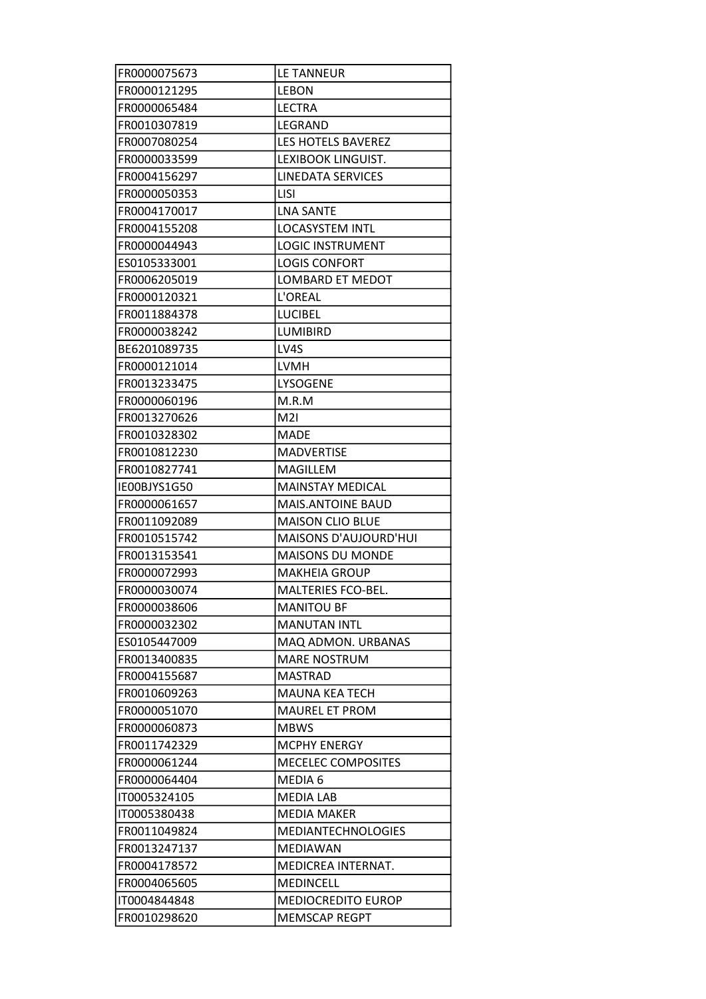| FR0000075673 | LE TANNEUR                |
|--------------|---------------------------|
| FR0000121295 | <b>LEBON</b>              |
| FR0000065484 | <b>LECTRA</b>             |
| FR0010307819 | LEGRAND                   |
| FR0007080254 | LES HOTELS BAVEREZ        |
| FR0000033599 | LEXIBOOK LINGUIST.        |
| FR0004156297 | <b>LINEDATA SERVICES</b>  |
| FR0000050353 | <b>LISI</b>               |
| FR0004170017 | <b>LNA SANTE</b>          |
| FR0004155208 | <b>LOCASYSTEM INTL</b>    |
| FR0000044943 | <b>LOGIC INSTRUMENT</b>   |
| ES0105333001 | <b>LOGIS CONFORT</b>      |
| FR0006205019 | <b>LOMBARD ET MEDOT</b>   |
| FR0000120321 | L'OREAL                   |
| FR0011884378 | <b>LUCIBEL</b>            |
| FR0000038242 | <b>LUMIBIRD</b>           |
| BE6201089735 | LV4S                      |
| FR0000121014 | <b>LVMH</b>               |
| FR0013233475 | <b>LYSOGENE</b>           |
| FR0000060196 | M.R.M                     |
| FR0013270626 | M2I                       |
| FR0010328302 | <b>MADE</b>               |
| FR0010812230 | <b>MADVERTISE</b>         |
| FR0010827741 | MAGILLEM                  |
| IE00BJYS1G50 | MAINSTAY MEDICAL          |
| FR0000061657 | <b>MAIS.ANTOINE BAUD</b>  |
| FR0011092089 | <b>MAISON CLIO BLUE</b>   |
| FR0010515742 | MAISONS D'AUJOURD'HUI     |
| FR0013153541 | <b>MAISONS DU MONDE</b>   |
| FR0000072993 | <b>MAKHEIA GROUP</b>      |
| FR0000030074 | MALTERIES FCO-BEL.        |
| FR0000038606 | <b>MANITOU BF</b>         |
| FR0000032302 | <b>MANUTAN INTL</b>       |
| ES0105447009 | MAQ ADMON. URBANAS        |
| FR0013400835 | <b>MARE NOSTRUM</b>       |
| FR0004155687 | <b>MASTRAD</b>            |
| FR0010609263 | <b>MAUNA KEA TECH</b>     |
| FR0000051070 | <b>MAUREL ET PROM</b>     |
| FR0000060873 | <b>MBWS</b>               |
| FR0011742329 | <b>MCPHY ENERGY</b>       |
| FR0000061244 | MECELEC COMPOSITES        |
| FR0000064404 | MEDIA 6                   |
| IT0005324105 | <b>MEDIA LAB</b>          |
| IT0005380438 | <b>MEDIA MAKER</b>        |
| FR0011049824 | <b>MEDIANTECHNOLOGIES</b> |
| FR0013247137 | <b>MEDIAWAN</b>           |
| FR0004178572 | MEDICREA INTERNAT.        |
| FR0004065605 | <b>MEDINCELL</b>          |
| IT0004844848 | MEDIOCREDITO EUROP        |
| FR0010298620 | <b>MEMSCAP REGPT</b>      |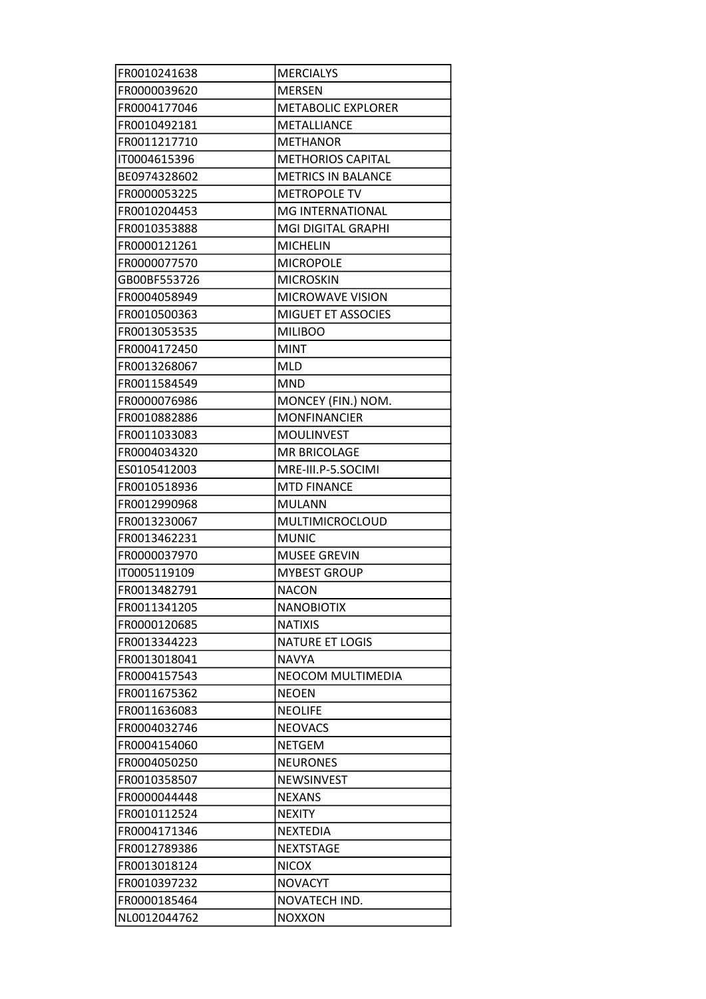| FR0010241638 | <b>MERCIALYS</b>          |
|--------------|---------------------------|
| FR0000039620 | <b>MERSEN</b>             |
| FR0004177046 | <b>METABOLIC EXPLORER</b> |
| FR0010492181 | <b>METALLIANCE</b>        |
| FR0011217710 | <b>METHANOR</b>           |
| IT0004615396 | <b>METHORIOS CAPITAL</b>  |
| BE0974328602 | <b>METRICS IN BALANCE</b> |
| FR0000053225 | <b>METROPOLE TV</b>       |
| FR0010204453 | MG INTERNATIONAL          |
| FR0010353888 | <b>MGI DIGITAL GRAPHI</b> |
| FR0000121261 | <b>MICHELIN</b>           |
| FR0000077570 | <b>MICROPOLE</b>          |
| GB00BF553726 | <b>MICROSKIN</b>          |
| FR0004058949 | <b>MICROWAVE VISION</b>   |
| FR0010500363 | <b>MIGUET ET ASSOCIES</b> |
| FR0013053535 | <b>MILIBOO</b>            |
| FR0004172450 | <b>MINT</b>               |
| FR0013268067 | <b>MLD</b>                |
| FR0011584549 | <b>MND</b>                |
| FR0000076986 | MONCEY (FIN.) NOM.        |
| FR0010882886 | <b>MONFINANCIER</b>       |
| FR0011033083 | <b>MOULINVEST</b>         |
| FR0004034320 | <b>MR BRICOLAGE</b>       |
| ES0105412003 | MRE-III.P-5.SOCIMI        |
| FR0010518936 | <b>MTD FINANCE</b>        |
| FR0012990968 | <b>MULANN</b>             |
| FR0013230067 | <b>MULTIMICROCLOUD</b>    |
| FR0013462231 | <b>MUNIC</b>              |
| FR0000037970 | <b>MUSEE GREVIN</b>       |
| IT0005119109 | <b>MYBEST GROUP</b>       |
| FR0013482791 | <b>NACON</b>              |
| FR0011341205 | <b>NANOBIOTIX</b>         |
| FR0000120685 | <b>NATIXIS</b>            |
| FR0013344223 | <b>NATURE ET LOGIS</b>    |
| FR0013018041 | <b>NAVYA</b>              |
| FR0004157543 | NEOCOM MULTIMEDIA         |
| FR0011675362 | <b>NEOEN</b>              |
| FR0011636083 | <b>NEOLIFE</b>            |
| FR0004032746 | <b>NEOVACS</b>            |
| FR0004154060 | <b>NETGEM</b>             |
| FR0004050250 | <b>NEURONES</b>           |
| FR0010358507 | <b>NEWSINVEST</b>         |
| FR0000044448 | <b>NEXANS</b>             |
| FR0010112524 | <b>NEXITY</b>             |
| FR0004171346 | <b>NEXTEDIA</b>           |
| FR0012789386 | <b>NEXTSTAGE</b>          |
| FR0013018124 | <b>NICOX</b>              |
| FR0010397232 | <b>NOVACYT</b>            |
| FR0000185464 | NOVATECH IND.             |
| NL0012044762 | <b>NOXXON</b>             |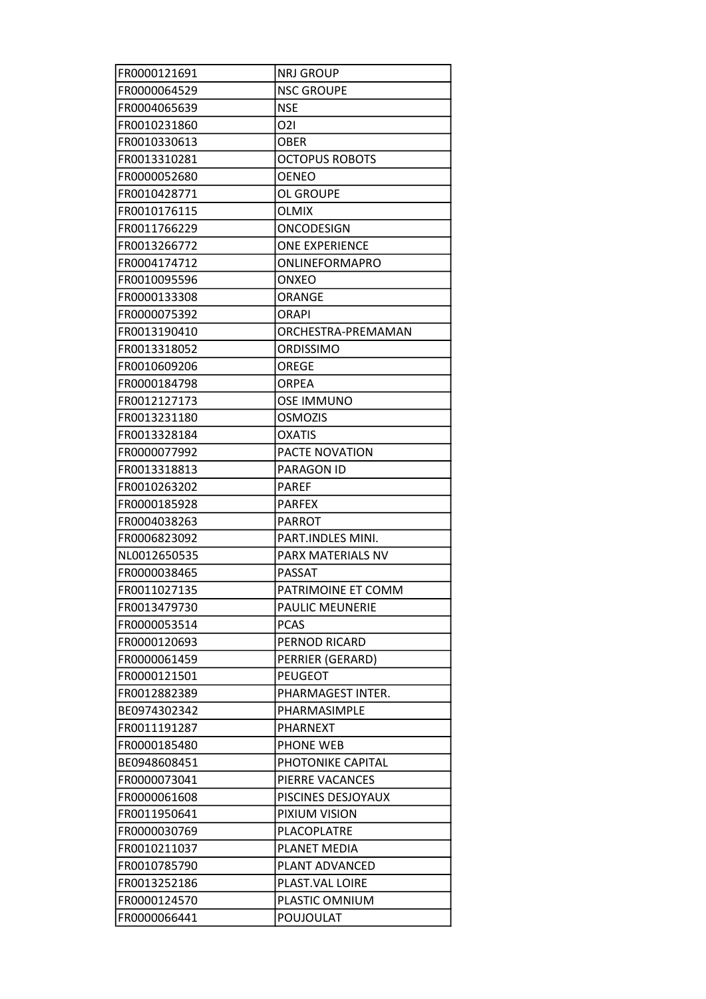| FR0000121691 | <b>NRJ GROUP</b>       |
|--------------|------------------------|
| FR0000064529 | <b>NSC GROUPE</b>      |
| FR0004065639 | <b>NSE</b>             |
| FR0010231860 | 021                    |
| FR0010330613 | <b>OBER</b>            |
| FR0013310281 | <b>OCTOPUS ROBOTS</b>  |
| FR0000052680 | <b>OENEO</b>           |
| FR0010428771 | OL GROUPE              |
| FR0010176115 | <b>OLMIX</b>           |
| FR0011766229 | ONCODESIGN             |
| FR0013266772 | <b>ONE EXPERIENCE</b>  |
| FR0004174712 | <b>ONLINEFORMAPRO</b>  |
| FR0010095596 | <b>ONXEO</b>           |
| FR0000133308 | <b>ORANGE</b>          |
| FR0000075392 | ORAPI                  |
| FR0013190410 | ORCHESTRA-PREMAMAN     |
| FR0013318052 | ORDISSIMO              |
| FR0010609206 | OREGE                  |
| FR0000184798 | <b>ORPEA</b>           |
| FR0012127173 | <b>OSE IMMUNO</b>      |
| FR0013231180 | <b>OSMOZIS</b>         |
| FR0013328184 | <b>OXATIS</b>          |
| FR0000077992 | PACTE NOVATION         |
| FR0013318813 | PARAGON ID             |
| FR0010263202 | <b>PAREF</b>           |
| FR0000185928 | <b>PARFEX</b>          |
| FR0004038263 | <b>PARROT</b>          |
| FR0006823092 | PART.INDLES MINI.      |
| NL0012650535 | PARX MATERIALS NV      |
| FR0000038465 | <b>PASSAT</b>          |
| FR0011027135 | PATRIMOINE ET COMM     |
| FR0013479730 | <b>PAULIC MEUNERIE</b> |
| FR0000053514 | <b>PCAS</b>            |
| FR0000120693 | <b>PERNOD RICARD</b>   |
| FR0000061459 | PERRIER (GERARD)       |
| FR0000121501 | <b>PEUGEOT</b>         |
| FR0012882389 | PHARMAGEST INTER.      |
| BE0974302342 | PHARMASIMPLE           |
| FR0011191287 | <b>PHARNEXT</b>        |
| FR0000185480 | PHONE WEB              |
| BE0948608451 | PHOTONIKE CAPITAL      |
| FR0000073041 | PIERRE VACANCES        |
| FR0000061608 | PISCINES DESJOYAUX     |
| FR0011950641 | PIXIUM VISION          |
| FR0000030769 | PLACOPLATRE            |
| FR0010211037 | PLANET MEDIA           |
| FR0010785790 | PLANT ADVANCED         |
| FR0013252186 | PLAST.VAL LOIRE        |
| FR0000124570 | PLASTIC OMNIUM         |
| FR0000066441 | POUJOULAT              |
|              |                        |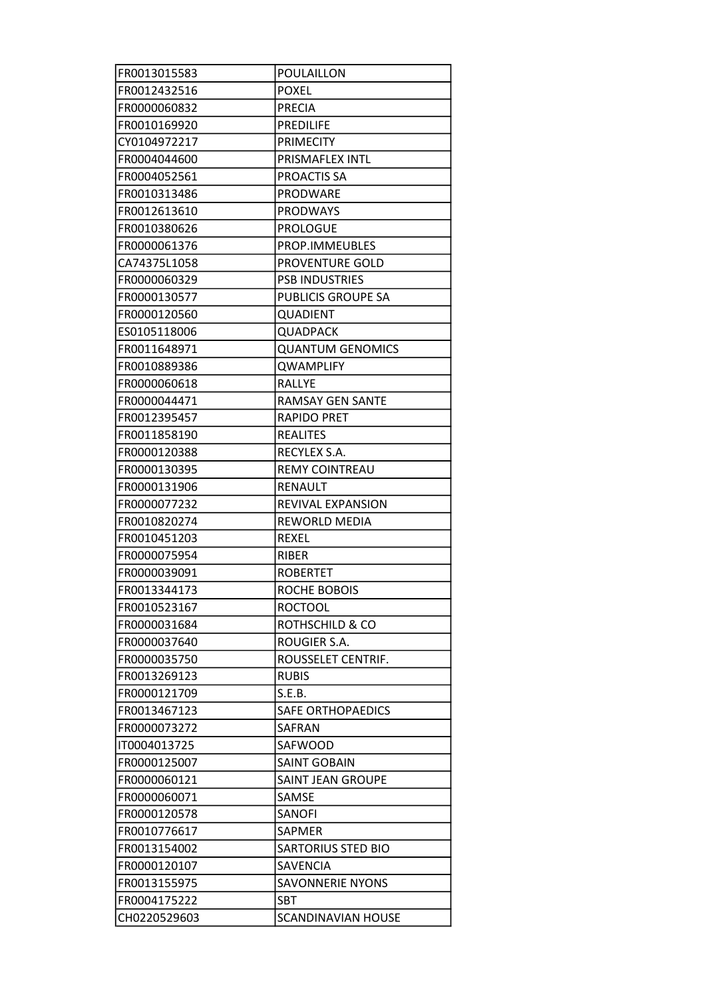| FR0013015583 | POULAILLON                 |
|--------------|----------------------------|
| FR0012432516 | <b>POXEL</b>               |
| FR0000060832 | <b>PRECIA</b>              |
| FR0010169920 | <b>PREDILIFE</b>           |
| CY0104972217 | <b>PRIMECITY</b>           |
| FR0004044600 | PRISMAFLEX INTL            |
| FR0004052561 | PROACTIS SA                |
| FR0010313486 | <b>PRODWARE</b>            |
| FR0012613610 | <b>PRODWAYS</b>            |
| FR0010380626 | <b>PROLOGUE</b>            |
| FR0000061376 | PROP.IMMEUBLES             |
| CA74375L1058 | PROVENTURE GOLD            |
| FR0000060329 | <b>PSB INDUSTRIES</b>      |
| FR0000130577 | <b>PUBLICIS GROUPE SA</b>  |
| FR0000120560 | <b>QUADIENT</b>            |
| ES0105118006 | <b>QUADPACK</b>            |
| FR0011648971 | <b>QUANTUM GENOMICS</b>    |
| FR0010889386 | <b>QWAMPLIFY</b>           |
| FR0000060618 | <b>RALLYE</b>              |
| FR0000044471 | <b>RAMSAY GEN SANTE</b>    |
| FR0012395457 | <b>RAPIDO PRET</b>         |
| FR0011858190 | <b>REALITES</b>            |
| FR0000120388 | RECYLEX S.A.               |
| FR0000130395 | <b>REMY COINTREAU</b>      |
| FR0000131906 | RENAULT                    |
| FR0000077232 | REVIVAL EXPANSION          |
| FR0010820274 | REWORLD MEDIA              |
| FR0010451203 | <b>REXEL</b>               |
| FR0000075954 | <b>RIBER</b>               |
| FR0000039091 | <b>ROBERTET</b>            |
| FR0013344173 | ROCHE BOBOIS               |
| FR0010523167 | <b>ROCTOOL</b>             |
| FR0000031684 | <b>ROTHSCHILD &amp; CO</b> |
| FR0000037640 | ROUGIER S.A.               |
| FR0000035750 | ROUSSELET CENTRIF.         |
| FR0013269123 | <b>RUBIS</b>               |
| FR0000121709 | S.E.B.                     |
| FR0013467123 | <b>SAFE ORTHOPAEDICS</b>   |
| FR0000073272 | SAFRAN                     |
| IT0004013725 | SAFWOOD                    |
| FR0000125007 | <b>SAINT GOBAIN</b>        |
| FR0000060121 | <b>SAINT JEAN GROUPE</b>   |
| FR0000060071 | SAMSE                      |
| FR0000120578 | <b>SANOFI</b>              |
| FR0010776617 | SAPMER                     |
| FR0013154002 | <b>SARTORIUS STED BIO</b>  |
| FR0000120107 | <b>SAVENCIA</b>            |
| FR0013155975 | <b>SAVONNERIE NYONS</b>    |
| FR0004175222 | <b>SBT</b>                 |
| CH0220529603 | <b>SCANDINAVIAN HOUSE</b>  |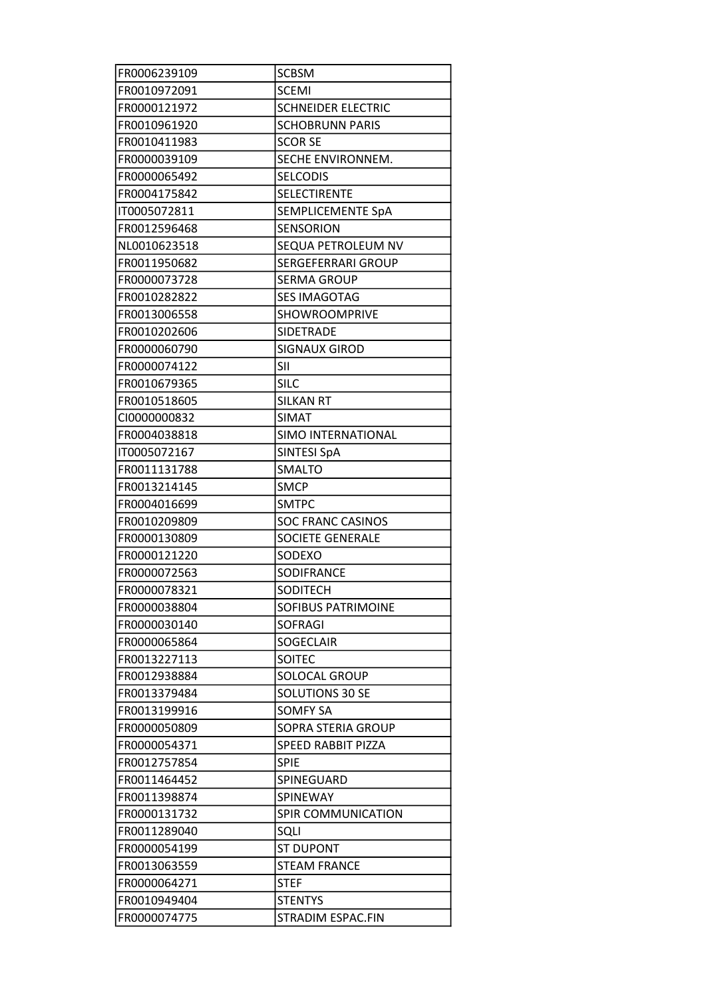| FR0006239109 | <b>SCBSM</b>              |
|--------------|---------------------------|
| FR0010972091 | <b>SCEMI</b>              |
| FR0000121972 | <b>SCHNEIDER ELECTRIC</b> |
| FR0010961920 | <b>SCHOBRUNN PARIS</b>    |
| FR0010411983 | <b>SCOR SE</b>            |
| FR0000039109 | SECHE ENVIRONNEM.         |
| FR0000065492 | <b>SELCODIS</b>           |
| FR0004175842 | SELECTIRENTE              |
| IT0005072811 | SEMPLICEMENTE SpA         |
| FR0012596468 | <b>SENSORION</b>          |
| NL0010623518 | SEQUA PETROLEUM NV        |
| FR0011950682 | <b>SERGEFERRARI GROUP</b> |
| FR0000073728 | <b>SERMA GROUP</b>        |
| FR0010282822 | <b>SES IMAGOTAG</b>       |
| FR0013006558 | <b>SHOWROOMPRIVE</b>      |
| FR0010202606 | SIDETRADE                 |
| FR0000060790 | <b>SIGNAUX GIROD</b>      |
| FR0000074122 | SII                       |
| FR0010679365 | <b>SILC</b>               |
| FR0010518605 | <b>SILKAN RT</b>          |
| CI0000000832 | SIMAT                     |
| FR0004038818 | SIMO INTERNATIONAL        |
| IT0005072167 | <b>SINTESI SpA</b>        |
| FR0011131788 | SMALTO                    |
| FR0013214145 | <b>SMCP</b>               |
|              |                           |
| FR0004016699 | <b>SMTPC</b>              |
| FR0010209809 | <b>SOC FRANC CASINOS</b>  |
| FR0000130809 | <b>SOCIETE GENERALE</b>   |
| FR0000121220 | SODEXO                    |
| FR0000072563 | <b>SODIFRANCE</b>         |
| FR0000078321 | SODITECH                  |
| FR0000038804 | <b>SOFIBUS PATRIMOINE</b> |
| FR0000030140 | <b>SOFRAGI</b>            |
| FR0000065864 | <b>SOGECLAIR</b>          |
| FR0013227113 | <b>SOITEC</b>             |
| FR0012938884 | SOLOCAL GROUP             |
| FR0013379484 | SOLUTIONS 30 SE           |
| FR0013199916 | <b>SOMFY SA</b>           |
| FR0000050809 | SOPRA STERIA GROUP        |
| FR0000054371 | <b>SPEED RABBIT PIZZA</b> |
| FR0012757854 | SPIE                      |
| FR0011464452 | SPINEGUARD                |
| FR0011398874 | SPINEWAY                  |
| FR0000131732 | <b>SPIR COMMUNICATION</b> |
| FR0011289040 | SQLI                      |
| FR0000054199 | <b>ST DUPONT</b>          |
| FR0013063559 | <b>STEAM FRANCE</b>       |
| FR0000064271 | <b>STEF</b>               |
| FR0010949404 | <b>STENTYS</b>            |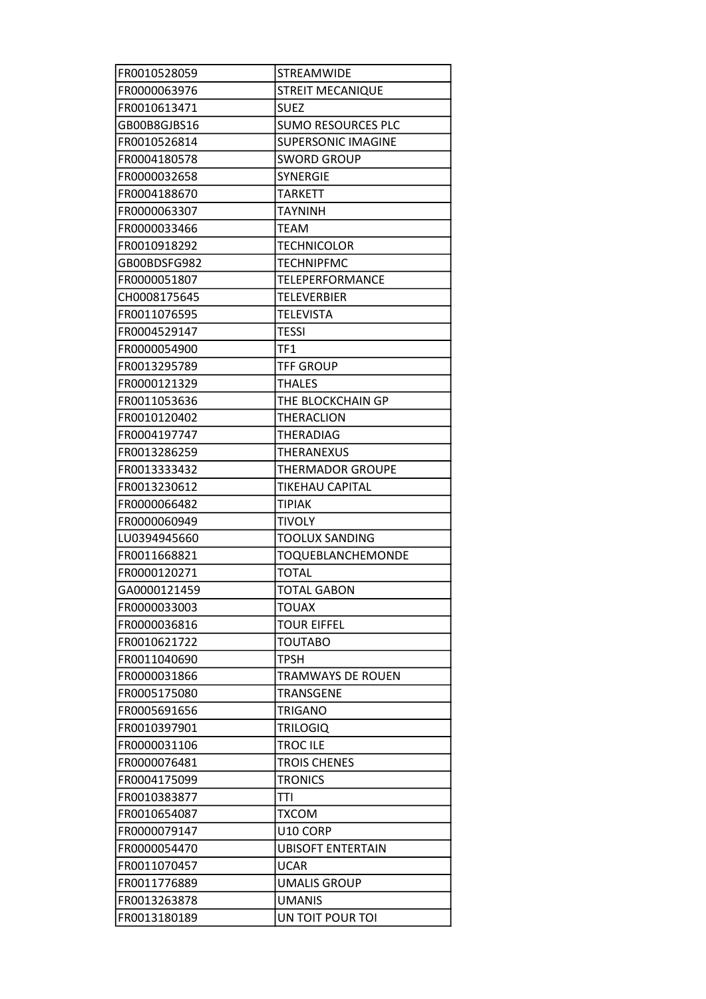| FR0010528059 | <b>STREAMWIDE</b>         |
|--------------|---------------------------|
| FR0000063976 | <b>STREIT MECANIQUE</b>   |
| FR0010613471 | <b>SUEZ</b>               |
| GB00B8GJBS16 | <b>SUMO RESOURCES PLC</b> |
| FR0010526814 | <b>SUPERSONIC IMAGINE</b> |
| FR0004180578 | <b>SWORD GROUP</b>        |
| FR0000032658 | <b>SYNERGIE</b>           |
| FR0004188670 | <b>TARKETT</b>            |
| FR0000063307 | <b>TAYNINH</b>            |
| FR0000033466 | <b>TEAM</b>               |
| FR0010918292 | <b>TECHNICOLOR</b>        |
| GB00BDSFG982 | <b>TECHNIPFMC</b>         |
| FR0000051807 | TELEPERFORMANCE           |
| CH0008175645 | <b>TELEVERBIER</b>        |
| FR0011076595 | <b>TELEVISTA</b>          |
| FR0004529147 | <b>TESSI</b>              |
| FR0000054900 | TF1                       |
| FR0013295789 | <b>TFF GROUP</b>          |
| FR0000121329 | <b>THALES</b>             |
| FR0011053636 | THE BLOCKCHAIN GP         |
| FR0010120402 | <b>THERACLION</b>         |
| FR0004197747 | THERADIAG                 |
| FR0013286259 | <b>THERANEXUS</b>         |
| FR0013333432 | <b>THERMADOR GROUPE</b>   |
| FR0013230612 | <b>TIKEHAU CAPITAL</b>    |
|              |                           |
| FR0000066482 | <b>TIPIAK</b>             |
| FR0000060949 | <b>TIVOLY</b>             |
| LU0394945660 | <b>TOOLUX SANDING</b>     |
| FR0011668821 | TOQUEBLANCHEMONDE         |
| FR0000120271 | <b>TOTAL</b>              |
| GA0000121459 | <b>TOTAL GABON</b>        |
| FR0000033003 | <b>TOUAX</b>              |
| FR0000036816 | <b>TOUR EIFFEL</b>        |
| FR0010621722 | <b>TOUTABO</b>            |
| FR0011040690 | <b>TPSH</b>               |
| FR0000031866 | <b>TRAMWAYS DE ROUEN</b>  |
| FR0005175080 | <b>TRANSGENE</b>          |
| FR0005691656 | <b>TRIGANO</b>            |
| FR0010397901 | <b>TRILOGIQ</b>           |
| FR0000031106 | <b>TROC ILE</b>           |
| FR0000076481 | <b>TROIS CHENES</b>       |
| FR0004175099 | <b>TRONICS</b>            |
| FR0010383877 | <b>TTI</b>                |
| FR0010654087 | <b>TXCOM</b>              |
| FR0000079147 | U10 CORP                  |
| FR0000054470 | <b>UBISOFT ENTERTAIN</b>  |
| FR0011070457 | <b>UCAR</b>               |
| FR0011776889 | <b>UMALIS GROUP</b>       |
| FR0013263878 | <b>UMANIS</b>             |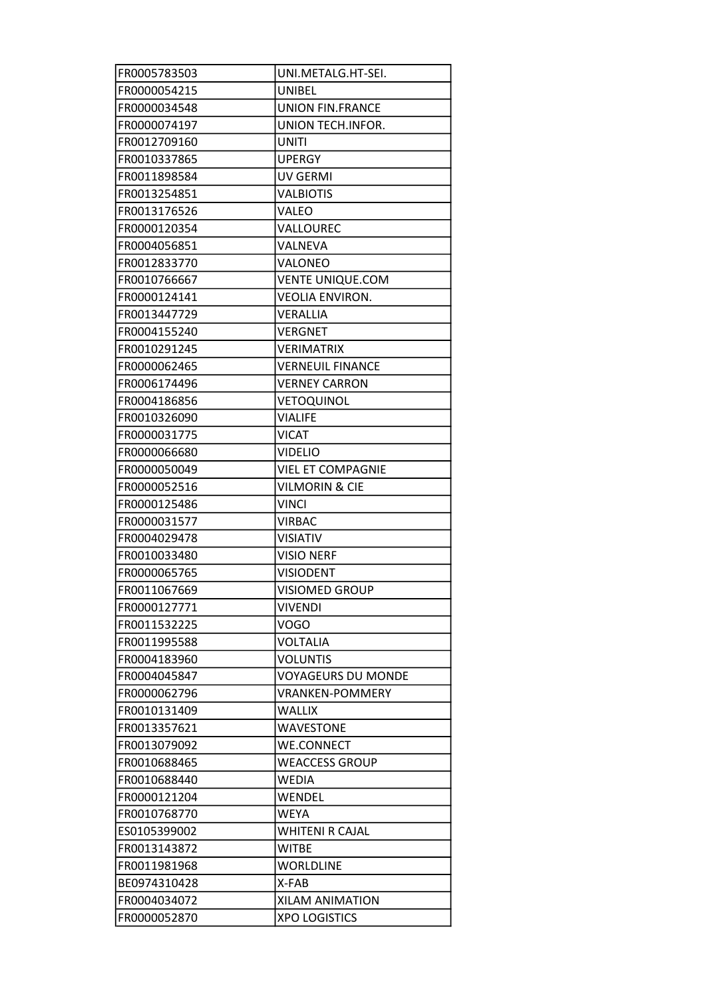| FR0005783503 | UNI.METALG.HT-SEI.        |
|--------------|---------------------------|
| FR0000054215 | UNIBEL                    |
| FR0000034548 | <b>UNION FIN.FRANCE</b>   |
| FR0000074197 | UNION TECH.INFOR.         |
| FR0012709160 | <b>UNITI</b>              |
| FR0010337865 | <b>UPERGY</b>             |
| FR0011898584 | <b>UV GERMI</b>           |
| FR0013254851 | <b>VALBIOTIS</b>          |
| FR0013176526 | VALEO                     |
| FR0000120354 | VALLOUREC                 |
| FR0004056851 | VALNEVA                   |
| FR0012833770 | <b>VALONEO</b>            |
| FR0010766667 | <b>VENTE UNIQUE.COM</b>   |
| FR0000124141 | <b>VEOLIA ENVIRON.</b>    |
| FR0013447729 | VERALLIA                  |
| FR0004155240 | <b>VERGNET</b>            |
| FR0010291245 | <b>VERIMATRIX</b>         |
| FR0000062465 | <b>VERNEUIL FINANCE</b>   |
| FR0006174496 | <b>VERNEY CARRON</b>      |
| FR0004186856 | VETOQUINOL                |
| FR0010326090 | <b>VIALIFE</b>            |
| FR0000031775 | <b>VICAT</b>              |
| FR0000066680 | <b>VIDELIO</b>            |
| FR0000050049 | <b>VIEL ET COMPAGNIE</b>  |
| FR0000052516 | <b>VILMORIN &amp; CIE</b> |
|              |                           |
| FR0000125486 | <b>VINCI</b>              |
| FR0000031577 | <b>VIRBAC</b>             |
| FR0004029478 | <b>VISIATIV</b>           |
| FR0010033480 | <b>VISIO NERF</b>         |
| FR0000065765 | <b>VISIODENT</b>          |
| FR0011067669 | <b>VISIOMED GROUP</b>     |
| FR0000127771 | <b>VIVENDI</b>            |
| FR0011532225 | VOGO                      |
| FR0011995588 | <b>VOLTALIA</b>           |
| FR0004183960 | <b>VOLUNTIS</b>           |
| FR0004045847 | <b>VOYAGEURS DU MONDE</b> |
| FR0000062796 | <b>VRANKEN-POMMERY</b>    |
| FR0010131409 | <b>WALLIX</b>             |
| FR0013357621 | <b>WAVESTONE</b>          |
| FR0013079092 | <b>WE.CONNECT</b>         |
| FR0010688465 | <b>WEACCESS GROUP</b>     |
| FR0010688440 | <b>WEDIA</b>              |
| FR0000121204 | WENDEL                    |
| FR0010768770 | <b>WEYA</b>               |
| ES0105399002 | <b>WHITENI R CAJAL</b>    |
| FR0013143872 | <b>WITBE</b>              |
| FR0011981968 | <b>WORLDLINE</b>          |
| BE0974310428 | X-FAB                     |
| FR0004034072 | <b>XILAM ANIMATION</b>    |